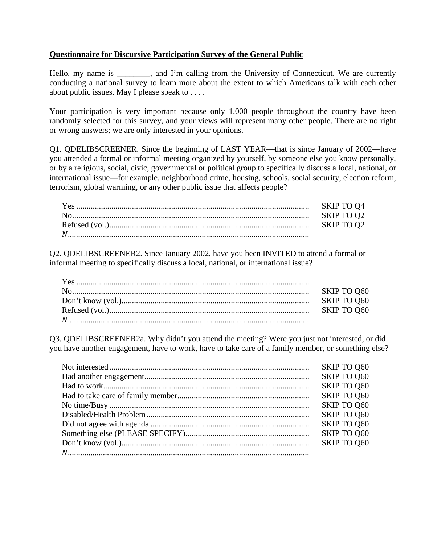### **Questionnaire for Discursive Participation Survey of the General Public**

Hello, my name is \_\_\_\_\_\_\_, and I'm calling from the University of Connecticut. We are currently conducting a national survey to learn more about the extent to which Americans talk with each other about public issues. May I please speak to . . . .

Your participation is very important because only 1,000 people throughout the country have been randomly selected for this survey, and your views will represent many other people. There are no right or wrong answers; we are only interested in your opinions.

Q1. QDELIBSCREENER. Since the beginning of LAST YEAR—that is since January of 2002—have you attended a formal or informal meeting organized by yourself, by someone else you know personally, or by a religious, social, civic, governmental or political group to specifically discuss a local, national, or international issue—for example, neighborhood crime, housing, schools, social security, election reform, terrorism, global warming, or any other public issue that affects people?

Q2. QDELIBSCREENER2. Since January 2002, have you been INVITED to attend a formal or informal meeting to specifically discuss a local, national, or international issue?

Q3. QDELIBSCREENER2a. Why didn't you attend the meeting? Were you just not interested, or did you have another engagement, have to work, have to take care of a family member, or something else?

| SKIP TO Q60 |
|-------------|
| SKIP TO Q60 |
| SKIP TO Q60 |
| SKIP TO Q60 |
| SKIP TO Q60 |
| SKIP TO Q60 |
| SKIP TO Q60 |
| SKIP TO Q60 |
| SKIP TO Q60 |
|             |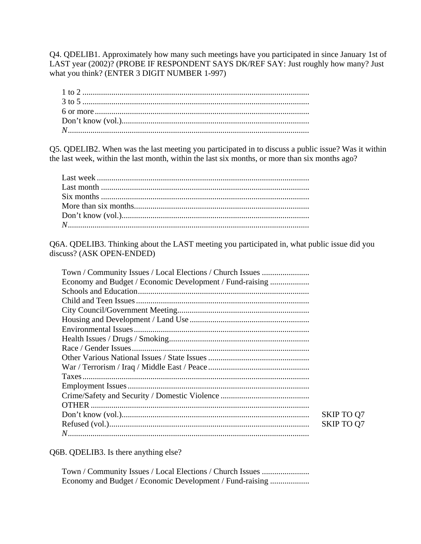Q4. QDELIB1. Approximately how many such meetings have you participated in since January 1st of LAST year (2002)? (PROBE IF RESPONDENT SAYS DK/REF SAY: Just roughly how many? Just what you think? (ENTER 3 DIGIT NUMBER 1-997)

Q5. QDELIB2. When was the last meeting you participated in to discuss a public issue? Was it within the last week, within the last month, within the last six months, or more than six months ago?

Q6A. QDELIB3. Thinking about the LAST meeting you participated in, what public issue did you discuss? (ASK OPEN-ENDED)

| Town / Community Issues / Local Elections / Church Issues |                   |
|-----------------------------------------------------------|-------------------|
| Economy and Budget / Economic Development / Fund-raising  |                   |
|                                                           |                   |
|                                                           |                   |
|                                                           |                   |
|                                                           |                   |
|                                                           |                   |
|                                                           |                   |
|                                                           |                   |
|                                                           |                   |
|                                                           |                   |
|                                                           |                   |
|                                                           |                   |
|                                                           |                   |
|                                                           |                   |
|                                                           | <b>SKIP TO Q7</b> |
|                                                           | <b>SKIP TO Q7</b> |
|                                                           |                   |

Q6B. QDELIB3. Is there anything else?

Town / Community Issues / Local Elections / Church Issues ....................... Economy and Budget / Economic Development / Fund-raising ...................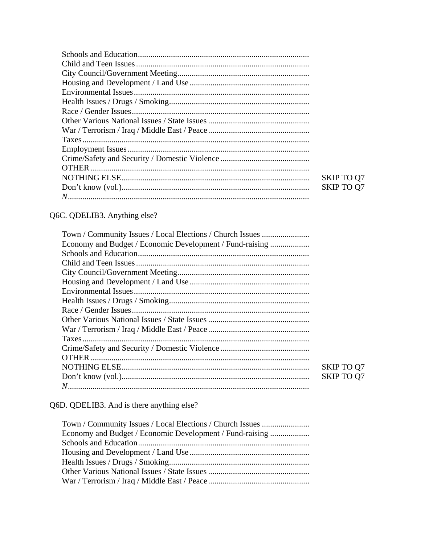| <b>SKIP TO Q7</b> |
|-------------------|
| <b>SKIP TO Q7</b> |
|                   |

# Q6C. QDELIB3. Anything else?

| Town / Community Issues / Local Elections / Church Issues |                   |
|-----------------------------------------------------------|-------------------|
| Economy and Budget / Economic Development / Fund-raising  |                   |
|                                                           |                   |
|                                                           |                   |
|                                                           |                   |
|                                                           |                   |
|                                                           |                   |
|                                                           |                   |
|                                                           |                   |
|                                                           |                   |
|                                                           |                   |
|                                                           |                   |
|                                                           |                   |
|                                                           |                   |
|                                                           | <b>SKIP TO Q7</b> |
|                                                           | <b>SKIP TO Q7</b> |
|                                                           |                   |
|                                                           |                   |

Q6D. QDELIB3. And is there anything else?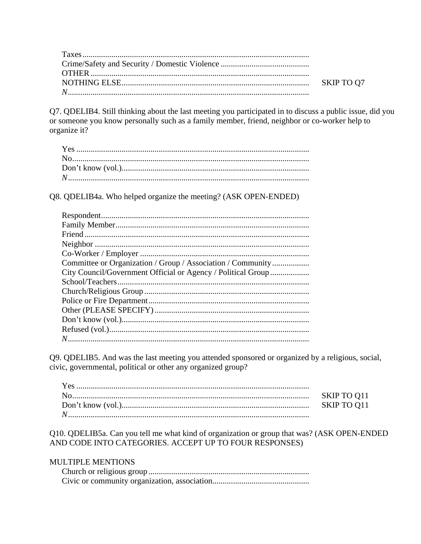Q7. QDELIB4. Still thinking about the last meeting you participated in to discuss a public issue, did you or someone you know personally such as a family member, friend, neighbor or co-worker help to organize it?

Q8. QDELIB4a. Who helped organize the meeting? (ASK OPEN-ENDED)

| Committee or Organization / Group / Association / Community  |
|--------------------------------------------------------------|
| City Council/Government Official or Agency / Political Group |
|                                                              |
|                                                              |
|                                                              |
|                                                              |
|                                                              |
|                                                              |
|                                                              |

Q9. QDELIB5. And was the last meeting you attended sponsored or organized by a religious, social, civic, governmental, political or other any organized group?

| SKIP TO 011 |
|-------------|
| SKIP TO Q11 |
|             |

Q10. QDELIB5a. Can you tell me what kind of organization or group that was? (ASK OPEN-ENDED AND CODE INTO CATEGORIES. ACCEPT UP TO FOUR RESPONSES)

# **MULTIPLE MENTIONS**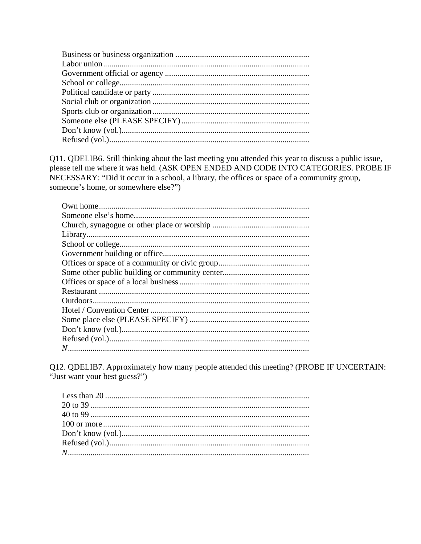Q11. QDELIB6. Still thinking about the last meeting you attended this year to discuss a public issue, please tell me where it was held. (ASK OPEN ENDED AND CODE INTO CATEGORIES. PROBE IF NECESSARY: "Did it occur in a school, a library, the offices or space of a community group, someone's home, or somewhere else?")

Q12. QDELIB7. Approximately how many people attended this meeting? (PROBE IF UNCERTAIN: "Just want your best guess?")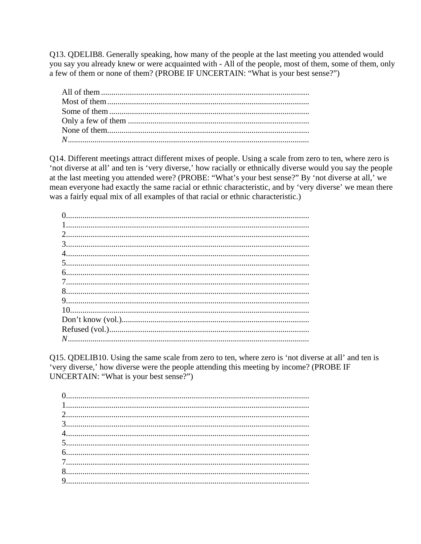Q13. QDELIB8. Generally speaking, how many of the people at the last meeting you attended would you say you already knew or were acquainted with - All of the people, most of them, some of them, only a few of them or none of them? (PROBE IF UNCERTAIN: "What is your best sense?")

Q14. Different meetings attract different mixes of people. Using a scale from zero to ten, where zero is 'not diverse at all' and ten is 'very diverse,' how racially or ethnically diverse would you say the people at the last meeting you attended were? (PROBE: "What's your best sense?" By 'not diverse at all,' we mean everyone had exactly the same racial or ethnic characteristic, and by 'very diverse' we mean there was a fairly equal mix of all examples of that racial or ethnic characteristic.)

Q15. QDELIB10. Using the same scale from zero to ten, where zero is 'not diverse at all' and ten is 'very diverse,' how diverse were the people attending this meeting by income? (PROBE IF UNCERTAIN: "What is your best sense?")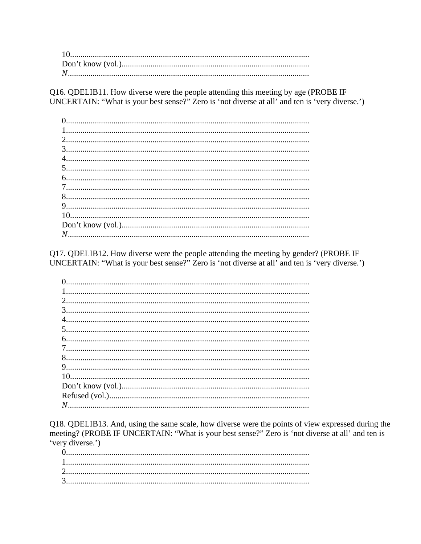Q16. QDELIB11. How diverse were the people attending this meeting by age (PROBE IF UNCERTAIN: "What is your best sense?" Zero is 'not diverse at all' and ten is 'very diverse.')

Q17. QDELIB12. How diverse were the people attending the meeting by gender? (PROBE IF UNCERTAIN: "What is your best sense?" Zero is 'not diverse at all' and ten is 'very diverse.')

Q18. QDELIB13. And, using the same scale, how diverse were the points of view expressed during the meeting? (PROBE IF UNCERTAIN: "What is your best sense?" Zero is 'not diverse at all' and ten is 'very diverse.')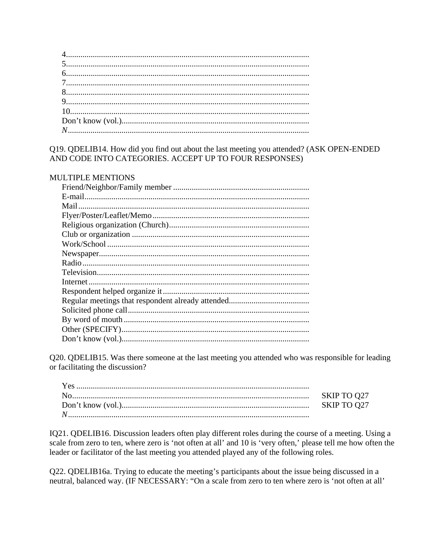### Q19. QDELIB14. How did you find out about the last meeting you attended? (ASK OPEN-ENDED AND CODE INTO CATEGORIES. ACCEPT UP TO FOUR RESPONSES)

# **MULTIPLE MENTIONS**

Q20. QDELIB15. Was there someone at the last meeting you attended who was responsible for leading or facilitating the discussion?

| SKIP TO Q27 |
|-------------|
| SKIP TO Q27 |
|             |

IQ21. QDELIB16. Discussion leaders often play different roles during the course of a meeting. Using a scale from zero to ten, where zero is 'not often at all' and 10 is 'very often,' please tell me how often the leader or facilitator of the last meeting you attended played any of the following roles.

Q22. QDELIB16a. Trying to educate the meeting's participants about the issue being discussed in a neutral, balanced way. (IF NECESSARY: "On a scale from zero to ten where zero is 'not often at all'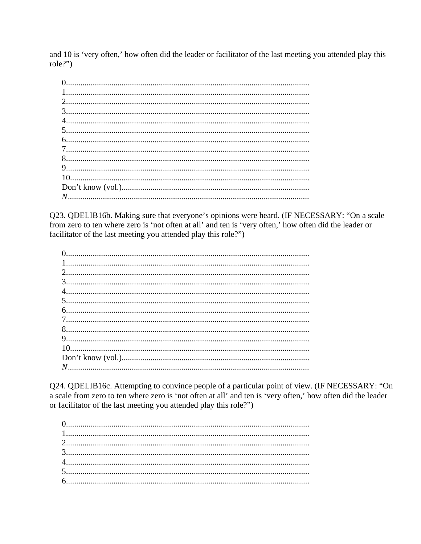and 10 is 'very often,' how often did the leader or facilitator of the last meeting you attended play this  $role?")$ 

Q23. QDELIB16b. Making sure that everyone's opinions were heard. (IF NECESSARY: "On a scale from zero to ten where zero is 'not often at all' and ten is 'very often,' how often did the leader or facilitator of the last meeting you attended play this role?")

Q24. QDELIB16c. Attempting to convince people of a particular point of view. (IF NECESSARY: "On a scale from zero to ten where zero is 'not often at all' and ten is 'very often,' how often did the leader or facilitator of the last meeting you attended play this role?")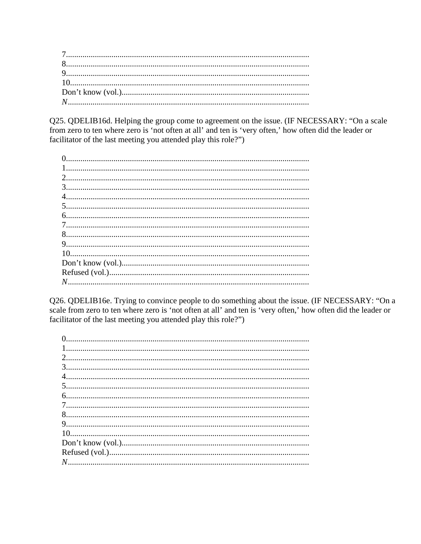Q25. QDELIB16d. Helping the group come to agreement on the issue. (IF NECESSARY: "On a scale from zero to ten where zero is 'not often at all' and ten is 'very often,' how often did the leader or facilitator of the last meeting you attended play this role?")

Q26. QDELIB16e. Trying to convince people to do something about the issue. (IF NECESSARY: "On a scale from zero to ten where zero is 'not often at all' and ten is 'very often,' how often did the leader or facilitator of the last meeting you attended play this role?")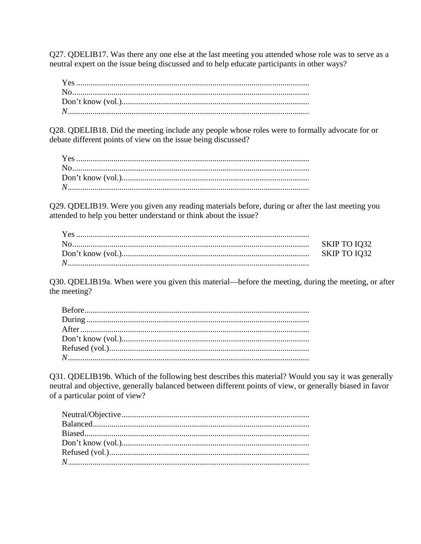Q27. QDELIB17. Was there any one else at the last meeting you attended whose role was to serve as a neutral expert on the issue being discussed and to help educate participants in other ways?

Q28. QDELIB18. Did the meeting include any people whose roles were to formally advocate for or debate different points of view on the issue being discussed?

Q29. QDELIB19. Were you given any reading materials before, during or after the last meeting you attended to help you better understand or think about the issue?

Q30. QDELIB19a. When were you given this material—before the meeting, during the meeting, or after the meeting?

Q31. QDELIB19b. Which of the following best describes this material? Would you say it was generally neutral and objective, generally balanced between different points of view, or generally biased in favor of a particular point of view?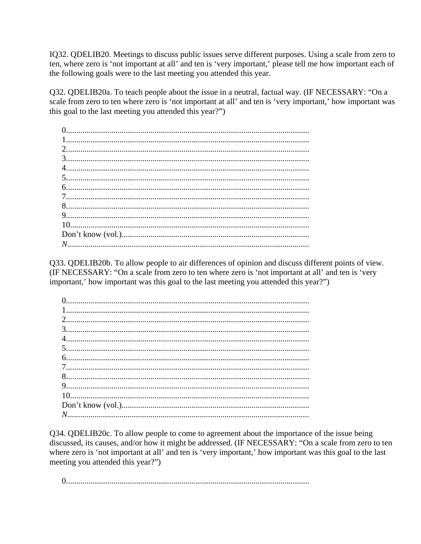IQ32. QDELIB20. Meetings to discuss public issues serve different purposes. Using a scale from zero to ten, where zero is 'not important at all' and ten is 'very important,' please tell me how important each of the following goals were to the last meeting you attended this year.

Q32. QDELIB20a. To teach people about the issue in a neutral, factual way. (IF NECESSARY: "On a scale from zero to ten where zero is 'not important at all' and ten is 'very important,' how important was this goal to the last meeting you attended this year?")

Q33. QDELIB20b. To allow people to air differences of opinion and discuss different points of view. (IF NECESSARY: "On a scale from zero to ten where zero is 'not important at all' and ten is 'very important,' how important was this goal to the last meeting you attended this year?")

Q34. QDELIB20c. To allow people to come to agreement about the importance of the issue being discussed, its causes, and/or how it might be addressed. (IF NECESSARY: "On a scale from zero to ten where zero is 'not important at all' and ten is 'very important,' how important was this goal to the last meeting you attended this year?")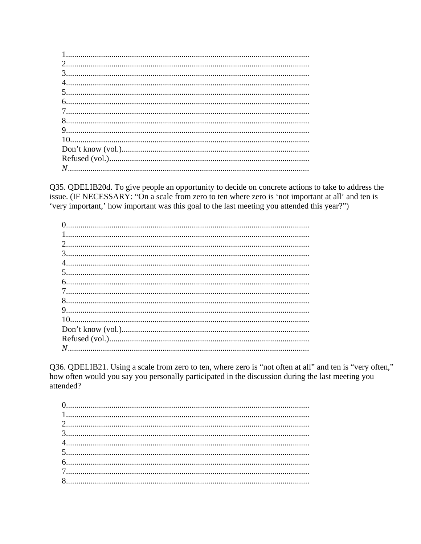Q35. QDELIB20d. To give people an opportunity to decide on concrete actions to take to address the issue. (IF NECESSARY: "On a scale from zero to ten where zero is 'not important at all' and ten is 'very important,' how important was this goal to the last meeting you attended this year?")

Q36. QDELIB21. Using a scale from zero to ten, where zero is "not often at all" and ten is "very often," how often would you say you personally participated in the discussion during the last meeting you attended?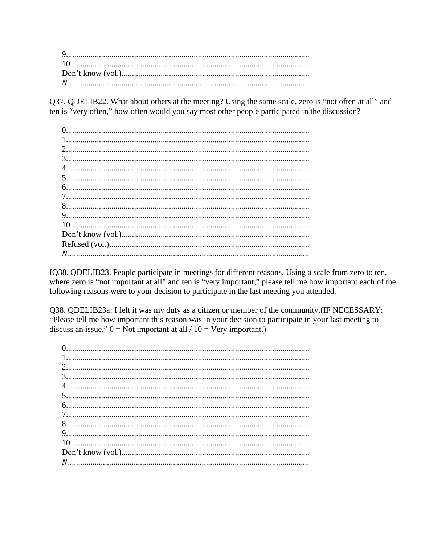Q37. QDELIB22. What about others at the meeting? Using the same scale, zero is "not often at all" and ten is "very often," how often would you say most other people participated in the discussion?

IQ38. QDELIB23. People participate in meetings for different reasons. Using a scale from zero to ten, where zero is "not important at all" and ten is "very important," please tell me how important each of the following reasons were to your decision to participate in the last meeting you attended.

Q38. QDELIB23a: I felt it was my duty as a citizen or member of the community. (IF NECESSARY: "Please tell me how important this reason was in your decision to participate in your last meeting to discuss an issue."  $0 = Not$  important at all /  $10 = V$ ery important.)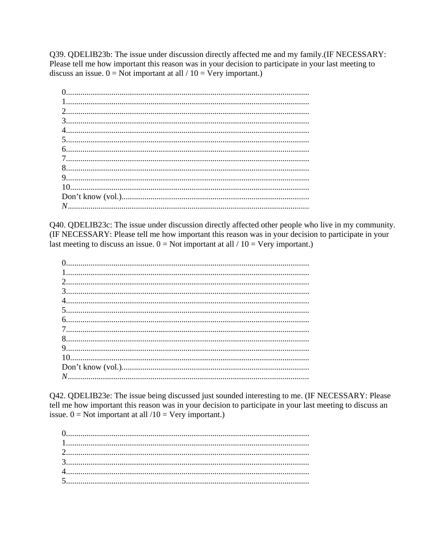Q39. QDELIB23b: The issue under discussion directly affected me and my family.(IF NECESSARY: Please tell me how important this reason was in your decision to participate in your last meeting to discuss an issue.  $0 = Not$  important at all / 10 = Very important.)

Q40. QDELIB23c: The issue under discussion directly affected other people who live in my community. (IF NECESSARY: Please tell me how important this reason was in your decision to participate in your last meeting to discuss an issue.  $0 = Not$  important at all / 10 = Very important.)

Q42. QDELIB23e: The issue being discussed just sounded interesting to me. (IF NECESSARY: Please tell me how important this reason was in your decision to participate in your last meeting to discuss an issue.  $0 = Not$  important at all  $/10 = Very$  important.)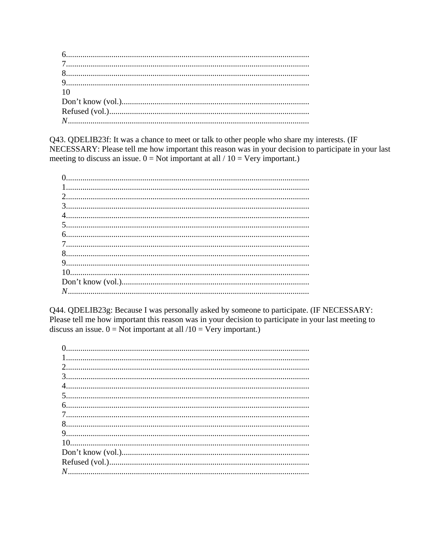| 10 |
|----|
|    |
|    |
|    |
|    |

Q43. QDELIB23f: It was a chance to meet or talk to other people who share my interests. (IF NECESSARY: Please tell me how important this reason was in your decision to participate in your last meeting to discuss an issue.  $0 = Not$  important at all / 10 = Very important.)

Q44. QDELIB23g: Because I was personally asked by someone to participate. (IF NECESSARY: Please tell me how important this reason was in your decision to participate in your last meeting to discuss an issue.  $0 = Not$  important at all  $/10 = V$ ery important.)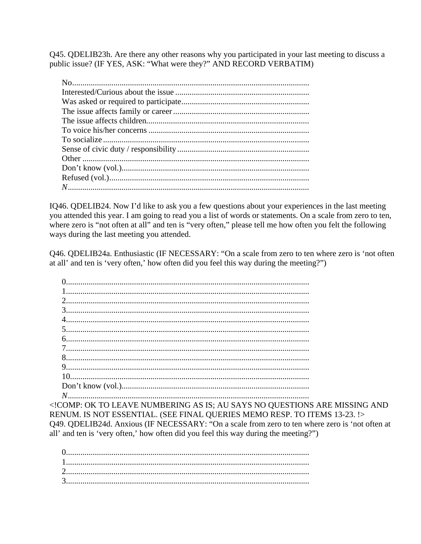Q45. QDELIB23h. Are there any other reasons why you participated in your last meeting to discuss a public issue? (IF YES, ASK: "What were they?" AND RECORD VERBATIM)

IQ46. QDELIB24. Now I'd like to ask you a few questions about your experiences in the last meeting you attended this year. I am going to read you a list of words or statements. On a scale from zero to ten, where zero is "not often at all" and ten is "very often," please tell me how often you felt the following ways during the last meeting you attended.

Q46. QDELIB24a. Enthusiastic (IF NECESSARY: "On a scale from zero to ten where zero is 'not often at all' and ten is 'very often,' how often did you feel this way during the meeting?")

<!COMP: OK TO LEAVE NUMBERING AS IS; AU SAYS NO QUESTIONS ARE MISSING AND RENUM. IS NOT ESSENTIAL. (SEE FINAL QUERIES MEMO RESP. TO ITEMS 13-23. !> Q49. QDELIB24d. Anxious (IF NECESSARY: "On a scale from zero to ten where zero is 'not often at all' and ten is 'very often,' how often did you feel this way during the meeting?")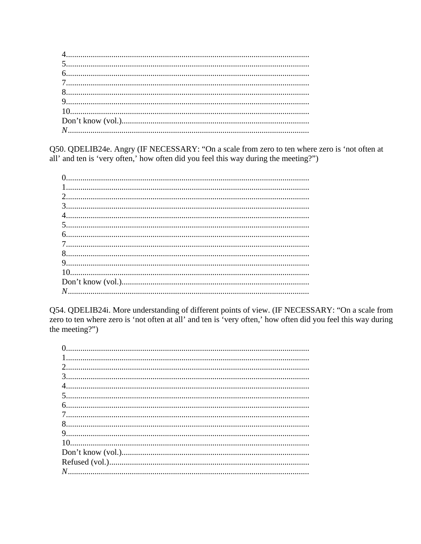Q50. QDELIB24e. Angry (IF NECESSARY: "On a scale from zero to ten where zero is 'not often at all' and ten is 'very often,' how often did you feel this way during the meeting?")

Q54. QDELIB24i. More understanding of different points of view. (IF NECESSARY: "On a scale from zero to ten where zero is 'not often at all' and ten is 'very often,' how often did you feel this way during the meeting?")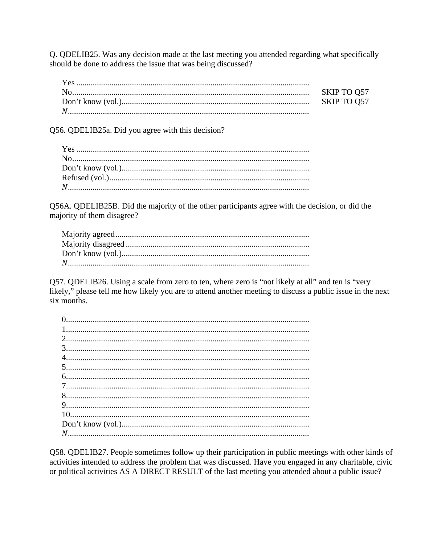Q. QDELIB25. Was any decision made at the last meeting you attended regarding what specifically should be done to address the issue that was being discussed?

| SKIP TO Q57 |
|-------------|
| SKIP TO Q57 |
|             |

Q56. QDELIB25a. Did you agree with this decision?

Q56A. QDELIB25B. Did the majority of the other participants agree with the decision, or did the majority of them disagree?

Q57. QDELIB26. Using a scale from zero to ten, where zero is "not likely at all" and ten is "very likely," please tell me how likely you are to attend another meeting to discuss a public issue in the next six months.

Q58. QDELIB27. People sometimes follow up their participation in public meetings with other kinds of activities intended to address the problem that was discussed. Have you engaged in any charitable, civic or political activities AS A DIRECT RESULT of the last meeting you attended about a public issue?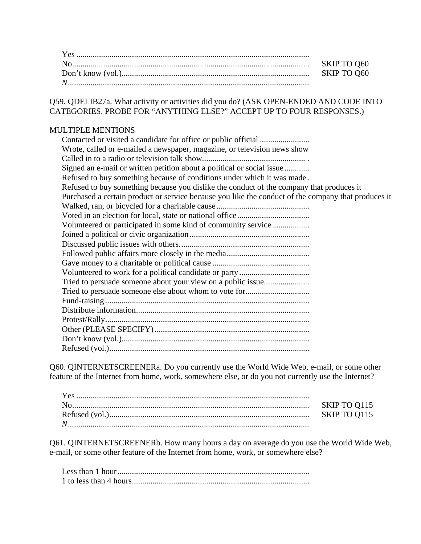Q59. QDELIB27a. What activity or activities did you do? (ASK OPEN-ENDED AND CODE INTO CATEGORIES. PROBE FOR "ANYTHING ELSE?" ACCEPT UP TO FOUR RESPONSES.)

# MULTIPLE MENTIONS

| Wrote, called or e-mailed a newspaper, magazine, or television news show                            |
|-----------------------------------------------------------------------------------------------------|
|                                                                                                     |
| Signed an e-mail or written petition about a political or social issue                              |
| Refused to buy something because of conditions under which it was made.                             |
| Refused to buy something because you dislike the conduct of the company that produces it            |
| Purchased a certain product or service because you like the conduct of the company that produces it |
|                                                                                                     |
|                                                                                                     |
| Volunteered or participated in some kind of community service                                       |
|                                                                                                     |
|                                                                                                     |
|                                                                                                     |
|                                                                                                     |
|                                                                                                     |
| Tried to persuade someone about your view on a public issue                                         |
|                                                                                                     |
|                                                                                                     |
|                                                                                                     |
|                                                                                                     |
|                                                                                                     |
|                                                                                                     |
|                                                                                                     |

Q60. QINTERNETSCREENERa. Do you currently use the World Wide Web, e-mail, or some other feature of the Internet from home, work, somewhere else, or do you not currently use the Internet?

Q61. QINTERNETSCREENERb. How many hours a day on average do you use the World Wide Web, e-mail, or some other feature of the Internet from home, work, or somewhere else?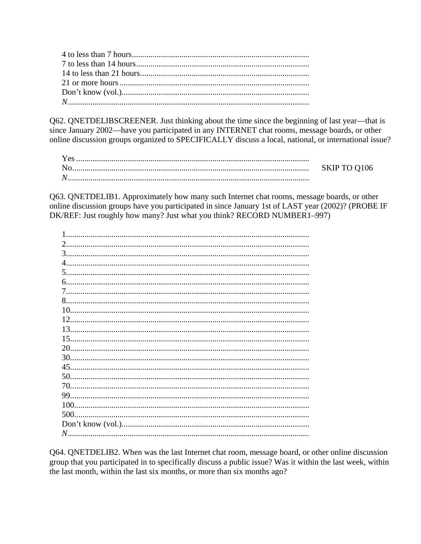Q62. QNETDELIBSCREENER. Just thinking about the time since the beginning of last year—that is since January 2002—have you participated in any INTERNET chat rooms, message boards, or other online discussion groups organized to SPECIFICALLY discuss a local, national, or international issue?

| No | SKIP TO Q106 |
|----|--------------|
| N  |              |

Q63. QNETDELIB1. Approximately how many such Internet chat rooms, message boards, or other online discussion groups have you participated in since January 1st of LAST year (2002)? (PROBE IF DK/REF: Just roughly how many? Just what you think? RECORD NUMBER1-997)

| 2   |
|-----|
|     |
|     |
|     |
|     |
|     |
|     |
|     |
| 12. |
|     |
| 13. |
| 15. |
|     |
| 30. |
| 45. |
| 50. |
| 70. |
|     |
|     |
|     |
|     |
|     |
|     |

Q64. QNETDELIB2. When was the last Internet chat room, message board, or other online discussion group that you participated in to specifically discuss a public issue? Was it within the last week, within the last month, within the last six months, or more than six months ago?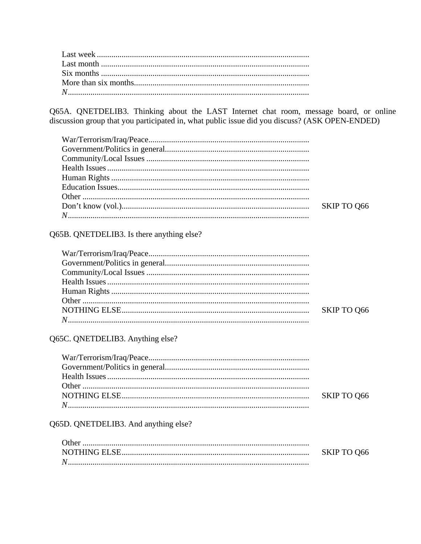Q65A. QNETDELIB3. Thinking about the LAST Internet chat room, message board, or online discussion group that you participated in, what public issue did you discuss? (ASK OPEN-ENDED)

| $\text{War/Terrorism/ Iraq/Peace.} \label{1.1}$ |  |
|-------------------------------------------------|--|
|                                                 |  |
|                                                 |  |
|                                                 |  |
|                                                 |  |
|                                                 |  |
|                                                 |  |
|                                                 |  |
|                                                 |  |
|                                                 |  |

# Q65B. QNETDELIB3. Is there anything else?

# Q65C. QNETDELIB3. Anything else?

Q65D. QNETDELIB3. And anything else?

|   | SKIP TO Q66 |
|---|-------------|
| N |             |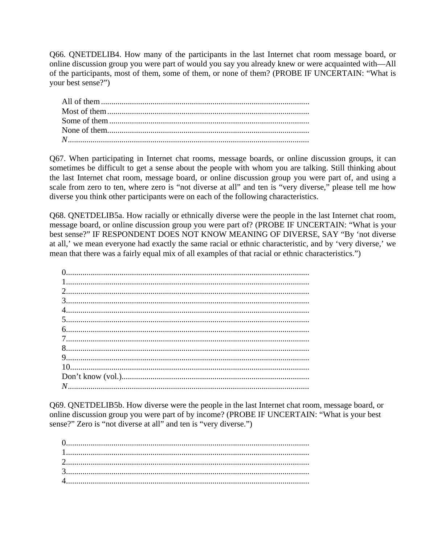Q66. QNETDELIB4. How many of the participants in the last Internet chat room message board, or online discussion group you were part of would you say you already knew or were acquainted with—All of the participants, most of them, some of them, or none of them? (PROBE IF UNCERTAIN: "What is your best sense?")

Q67. When participating in Internet chat rooms, message boards, or online discussion groups, it can sometimes be difficult to get a sense about the people with whom you are talking. Still thinking about the last Internet chat room, message board, or online discussion group you were part of, and using a scale from zero to ten, where zero is "not diverse at all" and ten is "very diverse," please tell me how diverse you think other participants were on each of the following characteristics.

Q68. QNETDELIB5a. How racially or ethnically diverse were the people in the last Internet chat room, message board, or online discussion group you were part of? (PROBE IF UNCERTAIN: "What is your best sense?" IF RESPONDENT DOES NOT KNOW MEANING OF DIVERSE, SAY "By 'not diverse at all,' we mean everyone had exactly the same racial or ethnic characteristic, and by 'very diverse,' we mean that there was a fairly equal mix of all examples of that racial or ethnic characteristics.")

Q69. QNETDELIB5b. How diverse were the people in the last Internet chat room, message board, or online discussion group you were part of by income? (PROBE IF UNCERTAIN: "What is your best sense?" Zero is "not diverse at all" and ten is "very diverse.")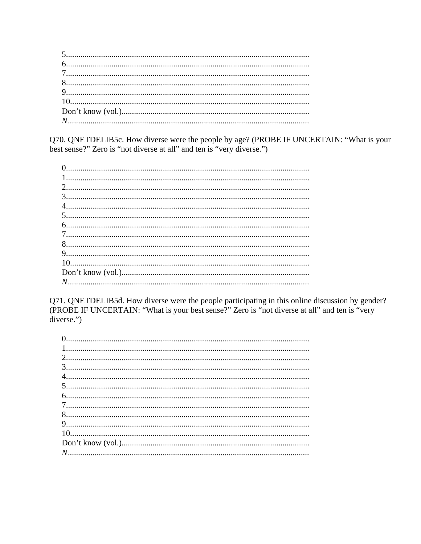Q70. QNETDELIB5c. How diverse were the people by age? (PROBE IF UNCERTAIN: "What is your best sense?" Zero is "not diverse at all" and ten is "very diverse.")

Q71. QNETDELIB5d. How diverse were the people participating in this online discussion by gender?<br>(PROBE IF UNCERTAIN: "What is your best sense?" Zero is "not diverse at all" and ten is "very  $diverse.$ ")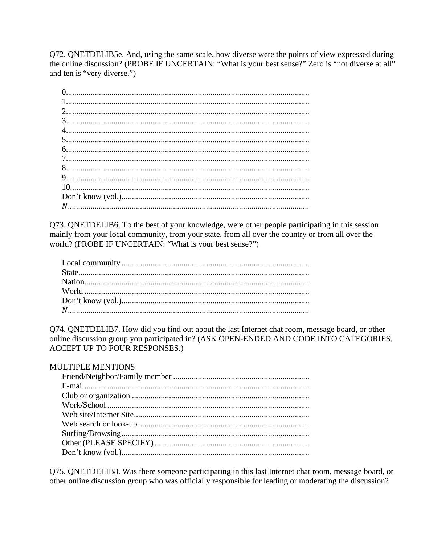Q72. QNETDELIB5e. And, using the same scale, how diverse were the points of view expressed during the online discussion? (PROBE IF UNCERTAIN: "What is your best sense?" Zero is "not diverse at all" and ten is "very diverse.")

Q73. QNETDELIB6. To the best of your knowledge, were other people participating in this session mainly from your local community, from your state, from all over the country or from all over the world? (PROBE IF UNCERTAIN: "What is your best sense?")

Q74. QNETDELIB7. How did you find out about the last Internet chat room, message board, or other online discussion group you participated in? (ASK OPEN-ENDED AND CODE INTO CATEGORIES. ACCEPT UP TO FOUR RESPONSES.)

#### **MULTIPLE MENTIONS**

Q75. QNETDELIB8. Was there someone participating in this last Internet chat room, message board, or other online discussion group who was officially responsible for leading or moderating the discussion?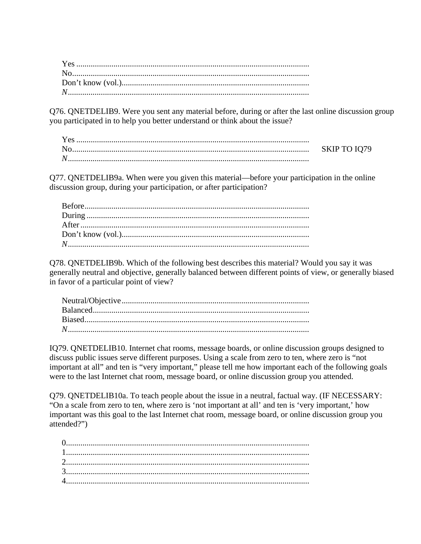Q76. QNETDELIB9. Were you sent any material before, during or after the last online discussion group you participated in to help you better understand or think about the issue?

| <b>Yes</b> |              |
|------------|--------------|
|            | SKIP TO IQ79 |
| N          |              |
|            |              |

Q77. QNETDELIB9a. When were you given this material—before your participation in the online discussion group, during your participation, or after participation?

Q78. QNETDELIB9b. Which of the following best describes this material? Would you say it was generally neutral and objective, generally balanced between different points of view, or generally biased in favor of a particular point of view?

IQ79. QNETDELIB10. Internet chat rooms, message boards, or online discussion groups designed to discuss public issues serve different purposes. Using a scale from zero to ten, where zero is "not important at all" and ten is "very important," please tell me how important each of the following goals were to the last Internet chat room, message board, or online discussion group you attended.

Q79. QNETDELIB10a. To teach people about the issue in a neutral, factual way. (IF NECESSARY: "On a scale from zero to ten, where zero is 'not important at all' and ten is 'very important,' how important was this goal to the last Internet chat room, message board, or online discussion group you attended?")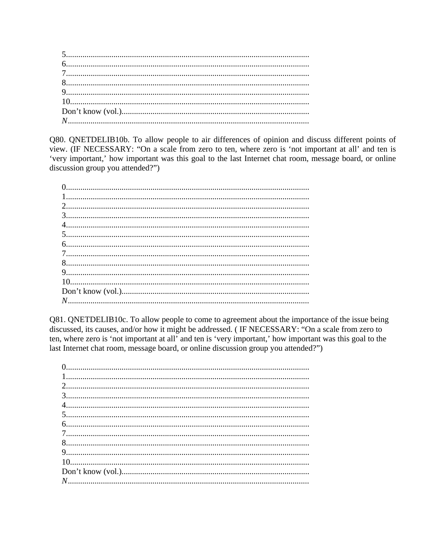Q80. QNETDELIB10b. To allow people to air differences of opinion and discuss different points of view. (IF NECESSARY: "On a scale from zero to ten, where zero is 'not important at all' and ten is 'very important,' how important was this goal to the last Internet chat room, message board, or online discussion group you attended?")

Q81. QNETDELIB10c. To allow people to come to agreement about the importance of the issue being discussed, its causes, and/or how it might be addressed. (IF NECESSARY: "On a scale from zero to ten, where zero is 'not important at all' and ten is 'very important,' how important was this goal to the last Internet chat room, message board, or online discussion group you attended?")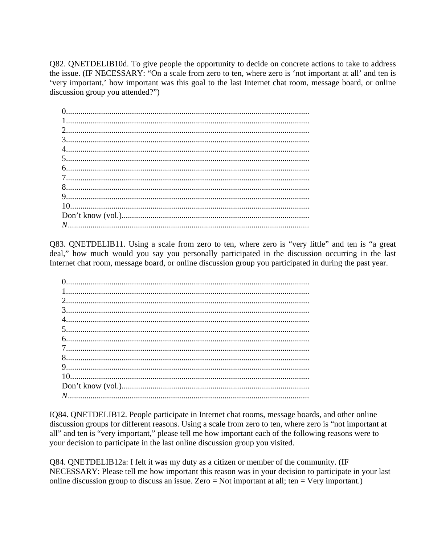Q82. QNETDELIB10d. To give people the opportunity to decide on concrete actions to take to address the issue. (IF NECESSARY: "On a scale from zero to ten, where zero is 'not important at all' and ten is 'very important,' how important was this goal to the last Internet chat room, message board, or online discussion group you attended?"

Q83. QNETDELIB11. Using a scale from zero to ten, where zero is "very little" and ten is "a great deal," how much would you say you personally participated in the discussion occurring in the last Internet chat room, message board, or online discussion group you participated in during the past year.

IQ84. QNETDELIB12. People participate in Internet chat rooms, message boards, and other online discussion groups for different reasons. Using a scale from zero to ten, where zero is "not important at all" and ten is "very important," please tell me how important each of the following reasons were to your decision to participate in the last online discussion group you visited.

Q84. QNETDELIB12a: I felt it was my duty as a citizen or member of the community. (IF NECESSARY: Please tell me how important this reason was in your decision to participate in your last online discussion group to discuss an issue. Zero = Not important at all; ten = Very important.)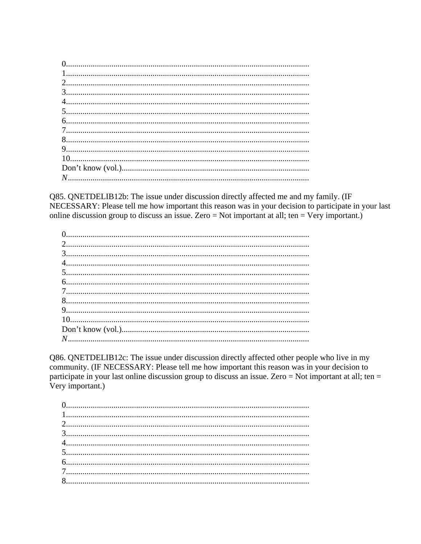Q85. QNETDELIB12b: The issue under discussion directly affected me and my family. (IF NECESSARY: Please tell me how important this reason was in your decision to participate in your last online discussion group to discuss an issue. Zero = Not important at all; ten = Very important.)

Q86. QNETDELIB12c: The issue under discussion directly affected other people who live in my community. (IF NECESSARY: Please tell me how important this reason was in your decision to participate in your last online discussion group to discuss an issue. Zero = Not important at all; ten = Very important.)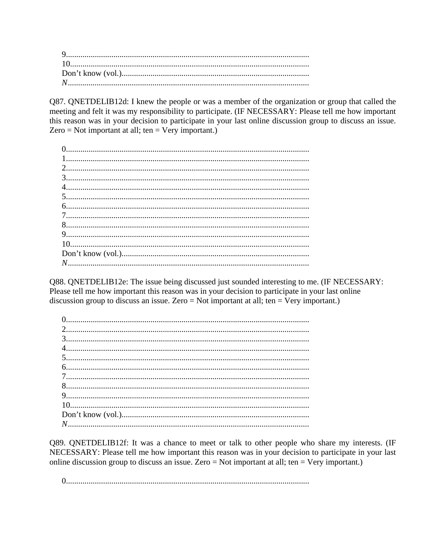Q87. QNETDELIB12d: I knew the people or was a member of the organization or group that called the meeting and felt it was my responsibility to participate. (IF NECESSARY: Please tell me how important this reason was in your decision to participate in your last online discussion group to discuss an issue. Zero = Not important at all; ten = Very important.)

Q88. QNETDELIB12e: The issue being discussed just sounded interesting to me. (IF NECESSARY: Please tell me how important this reason was in your decision to participate in your last online discussion group to discuss an issue. Zero = Not important at all; ten = Very important.)

Q89. QNETDELIB12f: It was a chance to meet or talk to other people who share my interests. (IF NECESSARY: Please tell me how important this reason was in your decision to participate in your last online discussion group to discuss an issue. Zero = Not important at all; ten = Very important.)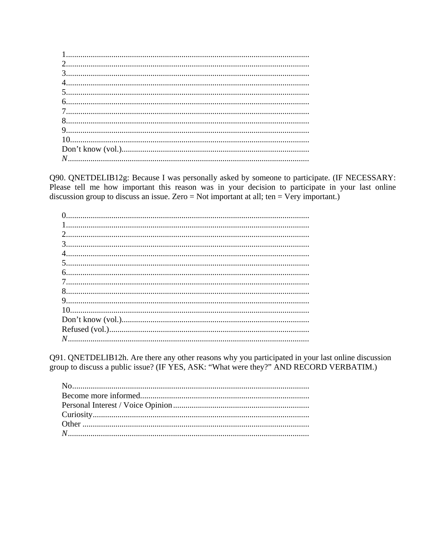Q90. QNETDELIB12g: Because I was personally asked by someone to participate. (IF NECESSARY: Please tell me how important this reason was in your decision to participate in your last online discussion group to discuss an issue. Zero = Not important at all; ten = Very important.)

Q91. QNETDELIB12h. Are there any other reasons why you participated in your last online discussion group to discuss a public issue? (IF YES, ASK: "What were they?" AND RECORD VERBATIM.)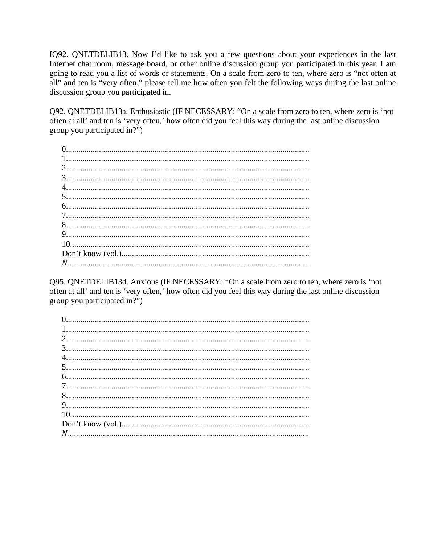IQ92. QNETDELIB13. Now I'd like to ask you a few questions about your experiences in the last Internet chat room, message board, or other online discussion group you participated in this year. I am going to read you a list of words or statements. On a scale from zero to ten, where zero is "not often at all" and ten is "very often," please tell me how often you felt the following ways during the last online discussion group you participated in.

Q92. QNETDELIB13a. Enthusiastic (IF NECESSARY: "On a scale from zero to ten, where zero is 'not often at all' and ten is 'very often,' how often did you feel this way during the last online discussion group you participated in?")

Q95. QNETDELIB13d. Anxious (IF NECESSARY: "On a scale from zero to ten, where zero is 'not often at all' and ten is 'very often,' how often did you feel this way during the last online discussion group you participated in?")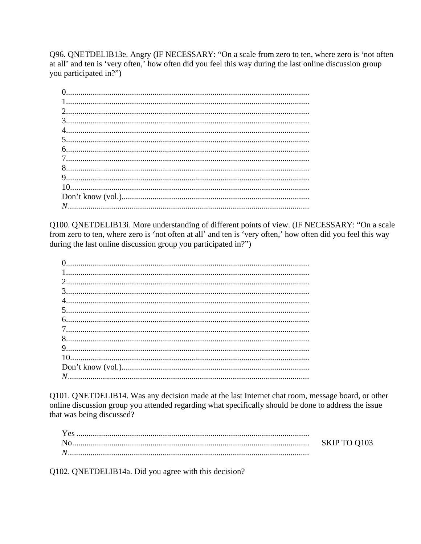Q96. QNETDELIB13e. Angry (IF NECESSARY: "On a scale from zero to ten, where zero is 'not often at all' and ten is 'very often,' how often did you feel this way during the last online discussion group you participated in?")

Q100. QNETDELIB13i. More understanding of different points of view. (IF NECESSARY: "On a scale from zero to ten, where zero is 'not often at all' and ten is 'very often,' how often did you feel this way during the last online discussion group you participated in?")

Q101. QNETDELIB14. Was any decision made at the last Internet chat room, message board, or other online discussion group you attended regarding what specifically should be done to address the issue that was being discussed?

| Yes |              |
|-----|--------------|
| Nο  | SKIP TO Q103 |
| N)  |              |
|     |              |

Q102. QNETDELIB14a. Did you agree with this decision?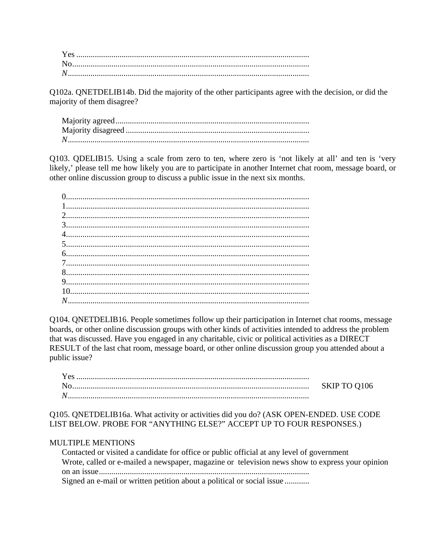Q102a. QNETDELIB14b. Did the majority of the other participants agree with the decision, or did the majority of them disagree?

Q103. QDELIB15. Using a scale from zero to ten, where zero is 'not likely at all' and ten is 'very likely,' please tell me how likely you are to participate in another Internet chat room, message board, or other online discussion group to discuss a public issue in the next six months.

Q104. QNETDELIB16. People sometimes follow up their participation in Internet chat rooms, message boards, or other online discussion groups with other kinds of activities intended to address the problem that was discussed. Have you engaged in any charitable, civic or political activities as a DIRECT RESULT of the last chat room, message board, or other online discussion group you attended about a public issue?

| No | SKIP TO Q106 |
|----|--------------|
| N  |              |

Q105. QNETDELIB16a. What activity or activities did you do? (ASK OPEN-ENDED. USE CODE LIST BELOW. PROBE FOR "ANYTHING ELSE?" ACCEPT UP TO FOUR RESPONSES.)

#### MULTIPLE MENTIONS

| Contacted or visited a candidate for office or public official at any level of government       |
|-------------------------------------------------------------------------------------------------|
| Wrote, called or e-mailed a newspaper, magazine or television news show to express your opinion |
|                                                                                                 |
| Signed an e-mail or written petition about a political or social issue                          |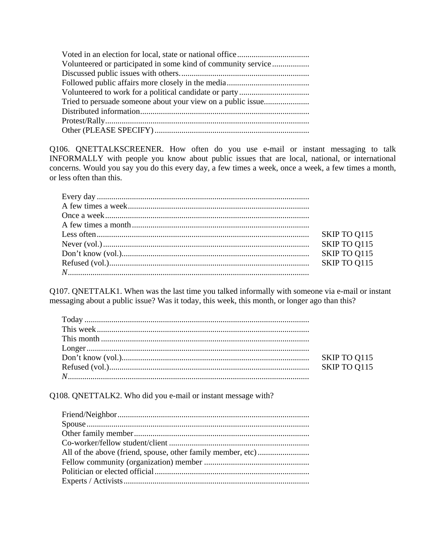| Volunteered or participated in some kind of community service |
|---------------------------------------------------------------|
|                                                               |
|                                                               |
|                                                               |
|                                                               |
|                                                               |
|                                                               |
|                                                               |

Q106. QNETTALKSCREENER. How often do you use e-mail or instant messaging to talk INFORMALLY with people you know about public issues that are local, national, or international concerns. Would you say you do this every day, a few times a week, once a week, a few times a month, or less often than this.

| SKIP TO Q115 |
|--------------|
| SKIP TO Q115 |
|              |
|              |

Q107. QNETTALK1. When was the last time you talked informally with someone via e-mail or instant messaging about a public issue? Was it today, this week, this month, or longer ago than this?

Q108. QNETTALK2. Who did you e-mail or instant message with?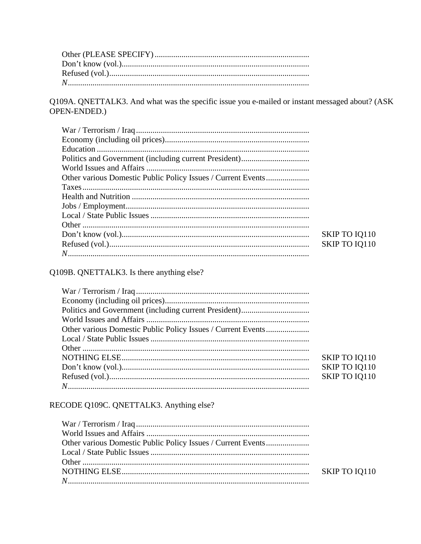Q109A. QNETTALK3. And what was the specific issue you e-mailed or instant messaged about? (ASK OPEN-ENDED.)

| SKIP TO IQ110 |
|---------------|
| SKIP TO IQ110 |
|               |

# Q109B. QNETTALK3. Is there anything else?

| Other various Domestic Public Policy Issues / Current Events |               |
|--------------------------------------------------------------|---------------|
|                                                              |               |
|                                                              |               |
|                                                              | SKIP TO IQ110 |
|                                                              | SKIP TO IQ110 |
|                                                              | SKIP TO IQ110 |
|                                                              |               |

# RECODE Q109C. QNETTALK3. Anything else?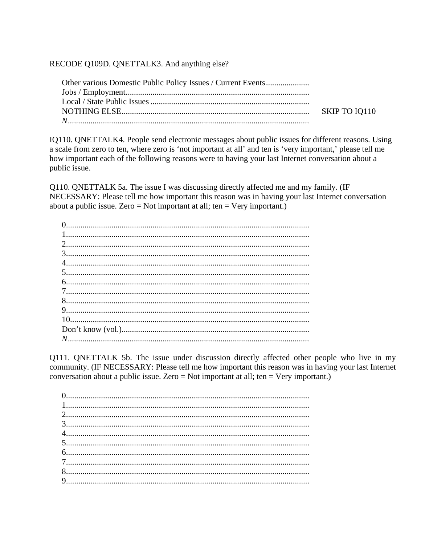RECODE Q109D. QNETTALK3. And anything else?

IQ110. QNETTALK4. People send electronic messages about public issues for different reasons. Using a scale from zero to ten, where zero is 'not important at all' and ten is 'very important,' please tell me how important each of the following reasons were to having your last Internet conversation about a public issue.

Q110. QNETTALK 5a. The issue I was discussing directly affected me and my family. (IF NECESSARY: Please tell me how important this reason was in having your last Internet conversation about a public issue. Zero = Not important at all; ten = Very important.)

Q111. QNETTALK 5b. The issue under discussion directly affected other people who live in my community. (IF NECESSARY: Please tell me how important this reason was in having your last Internet conversation about a public issue. Zero = Not important at all; ten = Very important.)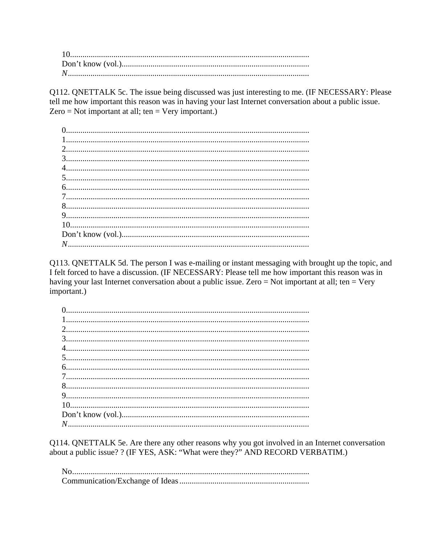Q112. QNETTALK 5c. The issue being discussed was just interesting to me. (IF NECESSARY: Please tell me how important this reason was in having your last Internet conversation about a public issue. Zero = Not important at all; ten = Very important.)

Q113. QNETTALK 5d. The person I was e-mailing or instant messaging with brought up the topic, and I felt forced to have a discussion. (IF NECESSARY: Please tell me how important this reason was in having your last Internet conversation about a public issue. Zero = Not important at all; ten = Very important.)

Q114. QNETTALK 5e. Are there any other reasons why you got involved in an Internet conversation about a public issue? ? (IF YES, ASK: "What were they?" AND RECORD VERBATIM.)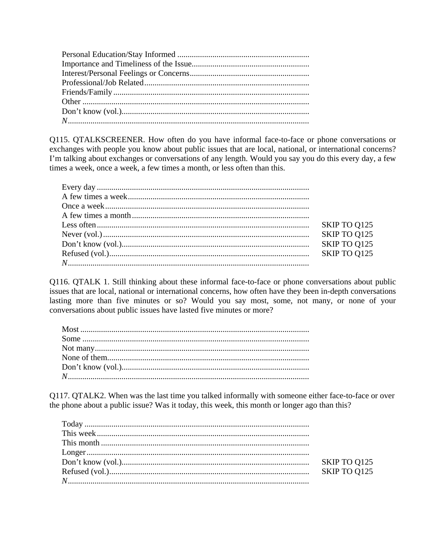Q115. QTALKSCREENER. How often do you have informal face-to-face or phone conversations or exchanges with people you know about public issues that are local, national, or international concerns? I'm talking about exchanges or conversations of any length. Would you say you do this every day, a few times a week, once a week, a few times a month, or less often than this.

|                                                                                                                                                                                                                                                                                                                                                         | SKIP TO Q125 |
|---------------------------------------------------------------------------------------------------------------------------------------------------------------------------------------------------------------------------------------------------------------------------------------------------------------------------------------------------------|--------------|
| Never $(v_0, 1, \ldots, 1, \ldots, 1, \ldots, 1, \ldots, 1, \ldots, 1, \ldots, 1, \ldots, 1, \ldots, 1, \ldots, 1, \ldots, 1, \ldots, 1, \ldots, 1, \ldots, 1, \ldots, 1, \ldots, 1, \ldots, 1, \ldots, 1, \ldots, 1, \ldots, 1, \ldots, 1, \ldots, 1, \ldots, 1, \ldots, 1, \ldots, 1, \ldots, 1, \ldots, 1, \ldots, 1, \ldots, 1, \ldots, 1, \ldots,$ | SKIP TO Q125 |
|                                                                                                                                                                                                                                                                                                                                                         | SKIP TO Q125 |
|                                                                                                                                                                                                                                                                                                                                                         |              |
|                                                                                                                                                                                                                                                                                                                                                         |              |

Q116. QTALK 1. Still thinking about these informal face-to-face or phone conversations about public issues that are local, national or international concerns, how often have they been in-depth conversations lasting more than five minutes or so? Would you say most, some, not many, or none of your conversations about public issues have lasted five minutes or more?

Q117. QTALK2. When was the last time you talked informally with someone either face-to-face or over the phone about a public issue? Was it today, this week, this month or longer ago than this?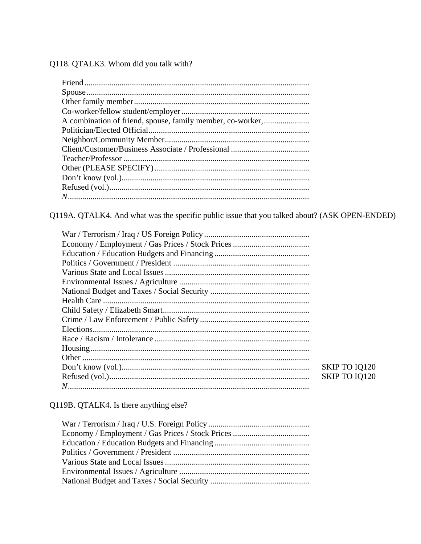Q118. QTALK3. Whom did you talk with?

Q119A. QTALK4. And what was the specific public issue that you talked about? (ASK OPEN-ENDED)

| SKIP TO IQ120 |
|---------------|
| SKIP TO IQ120 |
|               |

Q119B. QTALK4. Is there anything else?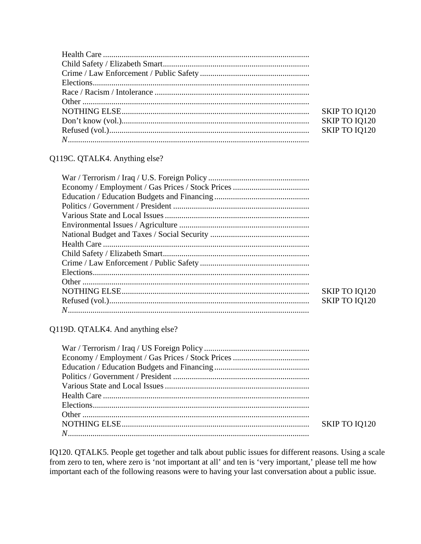| SKIP TO IQ120 |
|---------------|
| SKIP TO IQ120 |
| SKIP TO IQ120 |
|               |

# Q119C. QTALK4. Anything else?

| SKIP TO IQ120 |
|---------------|
| SKIP TO IQ120 |
|               |

Q119D. QTALK4. And anything else?

| SKIP TO IQ120 |
|---------------|
|               |

IQ120. QTALK5. People get together and talk about public issues for different reasons. Using a scale from zero to ten, where zero is 'not important at all' and ten is 'very important,' please tell me how important each of the following reasons were to having your last conversation about a public issue.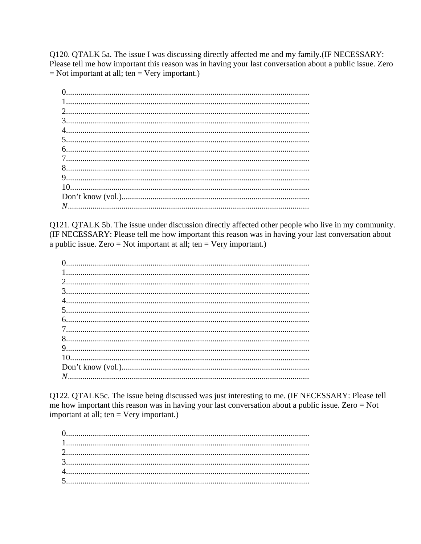Q120. QTALK 5a. The issue I was discussing directly affected me and my family.(IF NECESSARY: Please tell me how important this reason was in having your last conversation about a public issue. Zero  $=$  Not important at all; ten  $=$  Very important.)

Q121. QTALK 5b. The issue under discussion directly affected other people who live in my community. (IF NECESSARY: Please tell me how important this reason was in having your last conversation about a public issue. Zero = Not important at all; ten = Very important.)

Q122. QTALK5c. The issue being discussed was just interesting to me. (IF NECESSARY: Please tell me how important this reason was in having your last conversation about a public issue. Zero = Not important at all; ten = Very important.)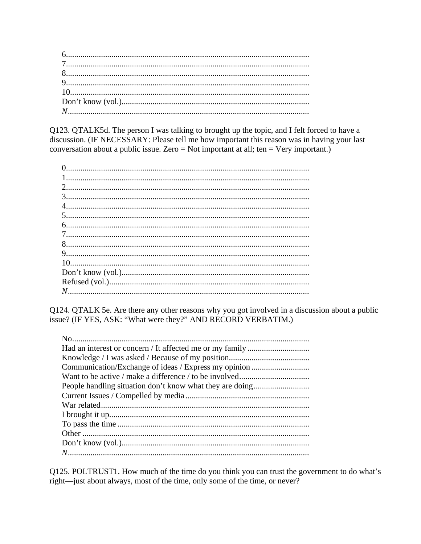Q123. QTALK5d. The person I was talking to brought up the topic, and I felt forced to have a discussion. (IF NECESSARY: Please tell me how important this reason was in having your last conversation about a public issue. Zero = Not important at all; ten = Very important.)

Q124. QTALK 5e. Are there any other reasons why you got involved in a discussion about a public issue? (IF YES, ASK: "What were they?" AND RECORD VERBATIM.)

Q125. POLTRUST1. How much of the time do you think you can trust the government to do what's right—just about always, most of the time, only some of the time, or never?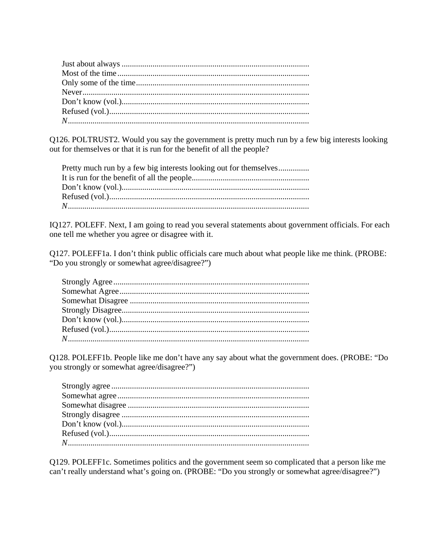Q126. POLTRUST2. Would you say the government is pretty much run by a few big interests looking out for themselves or that it is run for the benefit of all the people?

| Pretty much run by a few big interests looking out for themselves |
|-------------------------------------------------------------------|
|                                                                   |
|                                                                   |
|                                                                   |
|                                                                   |

IQ127. POLEFF. Next, I am going to read you several statements about government officials. For each one tell me whether you agree or disagree with it.

Q127. POLEFF1a. I don't think public officials care much about what people like me think. (PROBE: "Do you strongly or somewhat agree/disagree?")

Q128. POLEFF1b. People like me don't have any say about what the government does. (PROBE: "Do you strongly or somewhat agree/disagree?")

Q129. POLEFF1c. Sometimes politics and the government seem so complicated that a person like me can't really understand what's going on. (PROBE: "Do you strongly or somewhat agree/disagree?")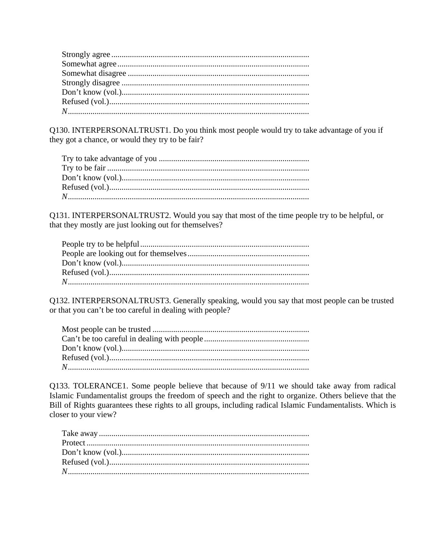Q130. INTERPERSONALTRUST1. Do you think most people would try to take advantage of you if they got a chance, or would they try to be fair?

Q131. INTERPERSONALTRUST2. Would you say that most of the time people try to be helpful, or that they mostly are just looking out for themselves?

Q132. INTERPERSONALTRUST3. Generally speaking, would you say that most people can be trusted or that you can't be too careful in dealing with people?

Q133. TOLERANCE1. Some people believe that because of 9/11 we should take away from radical Islamic Fundamentalist groups the freedom of speech and the right to organize. Others believe that the Bill of Rights guarantees these rights to all groups, including radical Islamic Fundamentalists. Which is closer to your view?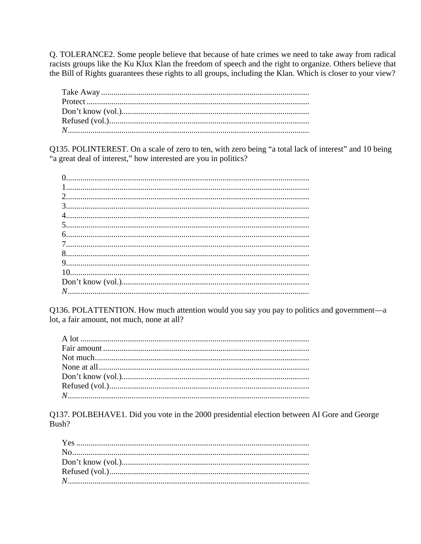Q. TOLERANCE2. Some people believe that because of hate crimes we need to take away from radical racists groups like the Ku Klux Klan the freedom of speech and the right to organize. Others believe that the Bill of Rights guarantees these rights to all groups, including the Klan. Which is closer to your view?

Q135. POLINTEREST. On a scale of zero to ten, with zero being "a total lack of interest" and 10 being "a great deal of interest," how interested are you in politics?

Q136. POLATTENTION. How much attention would you say you pay to politics and government—a lot, a fair amount, not much, none at all?

Q137. POLBEHAVE1. Did you vote in the 2000 presidential election between Al Gore and George Bush?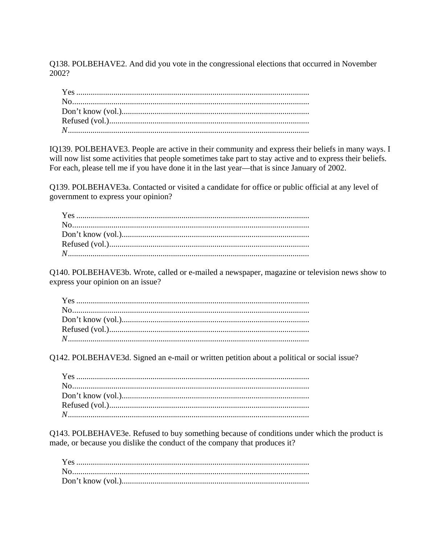Q138. POLBEHAVE2. And did you vote in the congressional elections that occurred in November 2002?

IQ139. POLBEHAVE3. People are active in their community and express their beliefs in many ways. I will now list some activities that people sometimes take part to stay active and to express their beliefs. For each, please tell me if you have done it in the last year—that is since January of 2002.

Q139. POLBEHAVE3a. Contacted or visited a candidate for office or public official at any level of government to express your opinion?

Q140. POLBEHAVE3b. Wrote, called or e-mailed a newspaper, magazine or television news show to express your opinion on an issue?

Q142. POLBEHAVE3d. Signed an e-mail or written petition about a political or social issue?

Q143. POLBEHAVE3e. Refused to buy something because of conditions under which the product is made, or because you dislike the conduct of the company that produces it?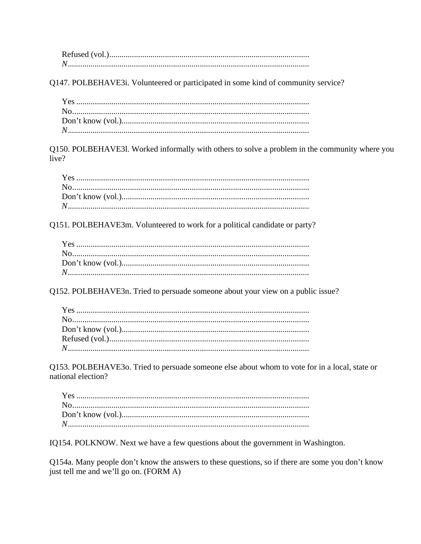Q147. POLBEHAVE3i. Volunteered or participated in some kind of community service?

Q150. POLBEHAVE31. Worked informally with others to solve a problem in the community where you live?

Q151. POLBEHAVE3m. Volunteered to work for a political candidate or party?

Q152. POLBEHAVE3n. Tried to persuade someone about your view on a public issue?

Q153. POLBEHAVE30. Tried to persuade someone else about whom to vote for in a local, state or national election?

IQ154. POLKNOW. Next we have a few questions about the government in Washington.

Q154a. Many people don't know the answers to these questions, so if there are some you don't know just tell me and we'll go on. (FORM A)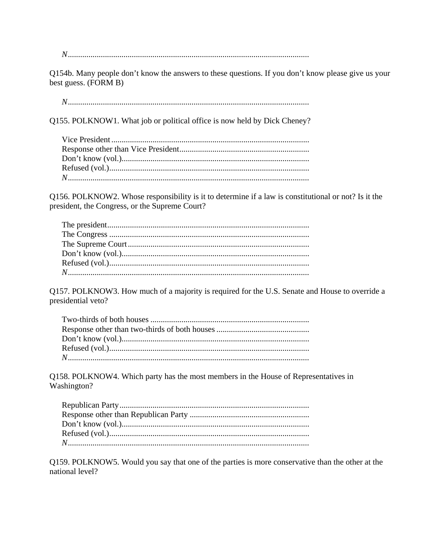Q154b. Many people don't know the answers to these questions. If you don't know please give us your best guess. (FORM B)

Q155. POLKNOW1. What job or political office is now held by Dick Cheney?

Q156. POLKNOW2. Whose responsibility is it to determine if a law is constitutional or not? Is it the president, the Congress, or the Supreme Court?

Q157. POLKNOW3. How much of a majority is required for the U.S. Senate and House to override a presidential veto?

Q158. POLKNOW4. Which party has the most members in the House of Representatives in Washington?

Q159. POLKNOW5. Would you say that one of the parties is more conservative than the other at the national level?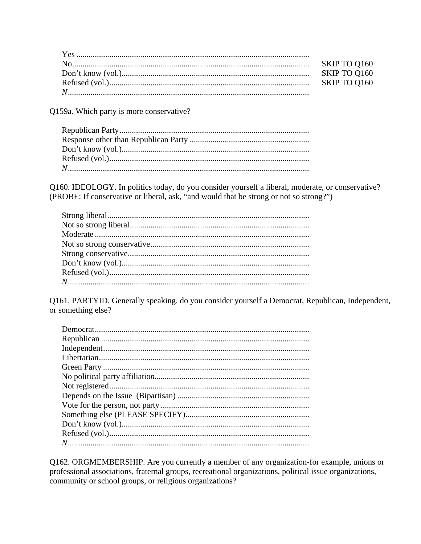| SKIP TO Q160 |
|--------------|
| SKIP TO Q160 |
| SKIP TO 0160 |
|              |

Q159a. Which party is more conservative?

Q160. IDEOLOGY. In politics today, do you consider yourself a liberal, moderate, or conservative? (PROBE: If conservative or liberal, ask, "and would that be strong or not so strong?")

Q161. PARTYID. Generally speaking, do you consider yourself a Democrat, Republican, Independent, or something else?

Q162. ORGMEMBERSHIP. Are you currently a member of any organization-for example, unions or professional associations, fraternal groups, recreational organizations, political issue organizations, community or school groups, or religious organizations?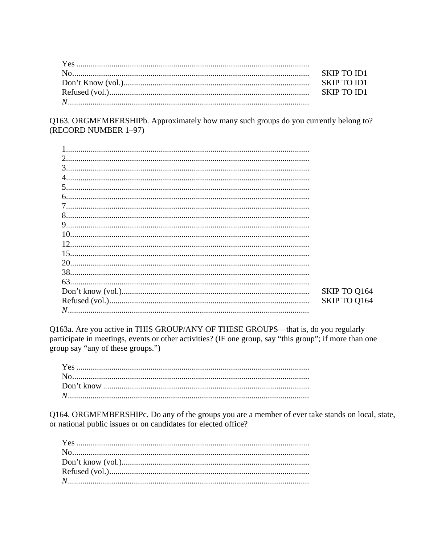Q163. ORGMEMBERSHIPb. Approximately how many such groups do you currently belong to? (RECORD NUMBER 1-97)

| $\mathcal{D}_{\mathcal{L}}$ |              |
|-----------------------------|--------------|
| 3                           |              |
| 4                           |              |
| 5                           |              |
| 6.                          |              |
|                             |              |
| 8                           |              |
| 9.                          |              |
| 10                          |              |
| 12<br>                      |              |
| 15                          |              |
| 20.                         |              |
|                             |              |
|                             |              |
|                             | SKIP TO Q164 |
|                             | SKIP TO Q164 |
|                             |              |

Q163a. Are you active in THIS GROUP/ANY OF THESE GROUPS—that is, do you regularly participate in meetings, events or other activities? (IF one group, say "this group"; if more than one group say "any of these groups.")

Q164. ORGMEMBERSHIPc. Do any of the groups you are a member of ever take stands on local, state, or national public issues or on candidates for elected office?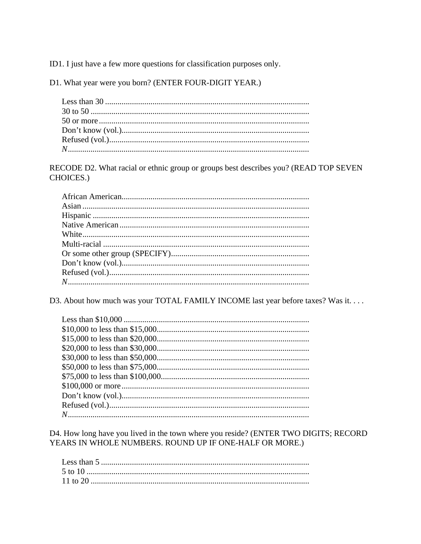ID1. I just have a few more questions for classification purposes only.

D1. What year were you born? (ENTER FOUR-DIGIT YEAR.)

RECODE D2. What racial or ethnic group or groups best describes you? (READ TOP SEVEN CHOICES.)

D3. About how much was your TOTAL FAMILY INCOME last year before taxes? Was it....

D4. How long have you lived in the town where you reside? (ENTER TWO DIGITS; RECORD YEARS IN WHOLE NUMBERS. ROUND UP IF ONE-HALF OR MORE.)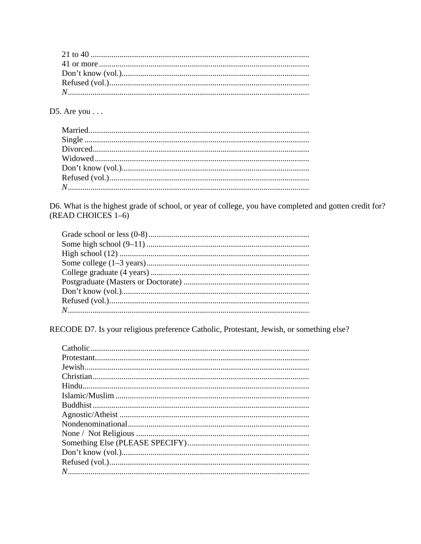D5. Are you  $\ldots$ 

D6. What is the highest grade of school, or year of college, you have completed and gotten credit for? (READ CHOICES 1-6)

RECODE D7. Is your religious preference Catholic, Protestant, Jewish, or something else?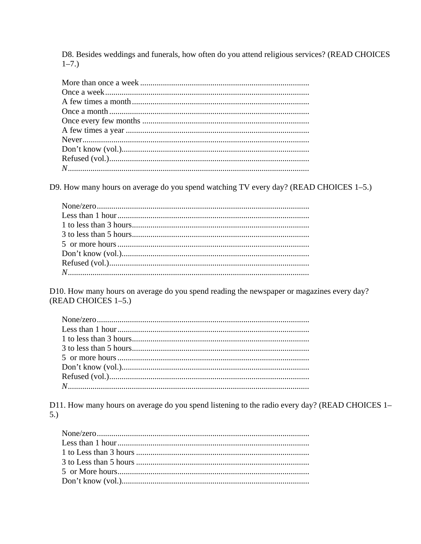D8. Besides weddings and funerals, how often do you attend religious services? (READ CHOICES  $1 - 7.$ 

D9. How many hours on average do you spend watching TV every day? (READ CHOICES 1-5.)

D10. How many hours on average do you spend reading the newspaper or magazines every day? (READ CHOICES 1-5.)

D11. How many hours on average do you spend listening to the radio every day? (READ CHOICES 1- $5.)$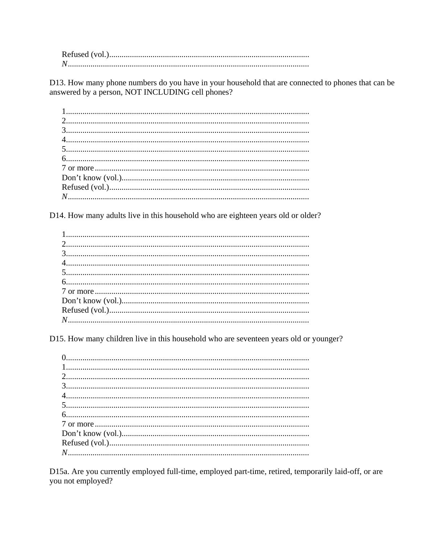D13. How many phone numbers do you have in your household that are connected to phones that can be answered by a person, NOT INCLUDING cell phones?

D14. How many adults live in this household who are eighteen years old or older?

D15. How many children live in this household who are seventeen years old or younger?

D15a. Are you currently employed full-time, employed part-time, retired, temporarily laid-off, or are you not employed?